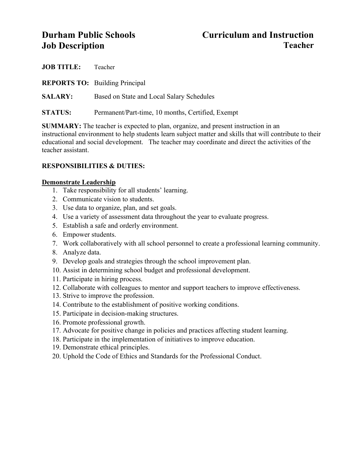# **Durham Public Schools Curriculum and Instruction Job Description Teacher**

| <b>JOB TITLE:</b> | Teacher                                           |
|-------------------|---------------------------------------------------|
|                   | <b>REPORTS TO:</b> Building Principal             |
| <b>SALARY:</b>    | Based on State and Local Salary Schedules         |
| <b>STATUS:</b>    | Permanent/Part-time, 10 months, Certified, Exempt |

**SUMMARY:** The teacher is expected to plan, organize, and present instruction in an instructional environment to help students learn subject matter and skills that will contribute to their educational and social development. The teacher may coordinate and direct the activities of the teacher assistant.

# **RESPONSIBILITIES & DUTIES:**

# **Demonstrate Leadership**

- 1. Take responsibility for all students' learning.
- 2. Communicate vision to students.
- 3. Use data to organize, plan, and set goals.
- 4. Use a variety of assessment data throughout the year to evaluate progress.
- 5. Establish a safe and orderly environment.
- 6. Empower students.
- 7. Work collaboratively with all school personnel to create a professional learning community.
- 8. Analyze data.
- 9. Develop goals and strategies through the school improvement plan.
- 10. Assist in determining school budget and professional development.
- 11. Participate in hiring process.
- 12. Collaborate with colleagues to mentor and support teachers to improve effectiveness.
- 13. Strive to improve the profession.
- 14. Contribute to the establishment of positive working conditions.
- 15. Participate in decision-making structures.
- 16. Promote professional growth.
- 17. Advocate for positive change in policies and practices affecting student learning.
- 18. Participate in the implementation of initiatives to improve education.
- 19. Demonstrate ethical principles.
- 20. Uphold the Code of Ethics and Standards for the Professional Conduct.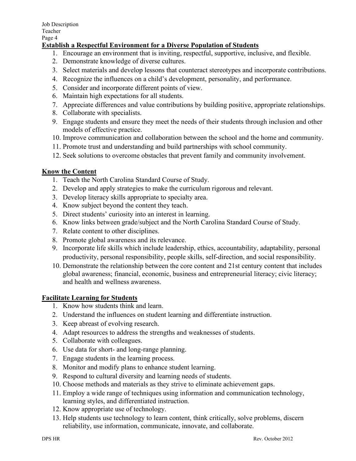# **Establish a Respectful Environment for a Diverse Population of Students**

- 1. Encourage an environment that is inviting, respectful, supportive, inclusive, and flexible.
- 2. Demonstrate knowledge of diverse cultures.
- 3. Select materials and develop lessons that counteract stereotypes and incorporate contributions.
- 4. Recognize the influences on a child's development, personality, and performance.
- 5. Consider and incorporate different points of view.
- 6. Maintain high expectations for all students.
- 7. Appreciate differences and value contributions by building positive, appropriate relationships.
- 8. Collaborate with specialists.
- 9. Engage students and ensure they meet the needs of their students through inclusion and other models of effective practice.
- 10. Improve communication and collaboration between the school and the home and community.
- 11. Promote trust and understanding and build partnerships with school community.
- 12. Seek solutions to overcome obstacles that prevent family and community involvement.

# **Know the Content**

- 1. Teach the North Carolina Standard Course of Study.
- 2. Develop and apply strategies to make the curriculum rigorous and relevant.
- 3. Develop literacy skills appropriate to specialty area.
- 4. Know subject beyond the content they teach.
- 5. Direct students' curiosity into an interest in learning.
- 6. Know links between grade/subject and the North Carolina Standard Course of Study.
- 7. Relate content to other disciplines.
- 8. Promote global awareness and its relevance.
- 9. Incorporate life skills which include leadership, ethics, accountability, adaptability, personal productivity, personal responsibility, people skills, self-direction, and social responsibility.
- 10. Demonstrate the relationship between the core content and 21st century content that includes global awareness; financial, economic, business and entrepreneurial literacy; civic literacy; and health and wellness awareness.

# **Facilitate Learning for Students**

- 1. Know how students think and learn.
- 2. Understand the influences on student learning and differentiate instruction.
- 3. Keep abreast of evolving research.
- 4. Adapt resources to address the strengths and weaknesses of students.
- 5. Collaborate with colleagues.
- 6. Use data for short- and long-range planning.
- 7. Engage students in the learning process.
- 8. Monitor and modify plans to enhance student learning.
- 9. Respond to cultural diversity and learning needs of students.
- 10. Choose methods and materials as they strive to eliminate achievement gaps.
- 11. Employ a wide range of techniques using information and communication technology, learning styles, and differentiated instruction.
- 12. Know appropriate use of technology.
- 13. Help students use technology to learn content, think critically, solve problems, discern reliability, use information, communicate, innovate, and collaborate.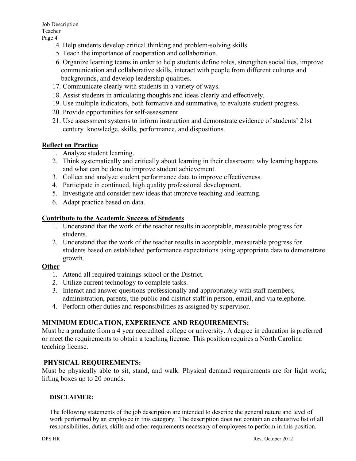- 14. Help students develop critical thinking and problem-solving skills.
- 15. Teach the importance of cooperation and collaboration.
- 16. Organize learning teams in order to help students define roles, strengthen social ties, improve communication and collaborative skills, interact with people from different cultures and backgrounds, and develop leadership qualities.
- 17. Communicate clearly with students in a variety of ways.
- 18. Assist students in articulating thoughts and ideas clearly and effectively.
- 19. Use multiple indicators, both formative and summative, to evaluate student progress.
- 20. Provide opportunities for self-assessment.
- 21. Use assessment systems to inform instruction and demonstrate evidence of students' 21st century knowledge, skills, performance, and dispositions.

### **Reflect on Practice**

- 1. Analyze student learning.
- 2. Think systematically and critically about learning in their classroom: why learning happens and what can be done to improve student achievement.
- 3. Collect and analyze student performance data to improve effectiveness.
- 4. Participate in continued, high quality professional development.
- 5. Investigate and consider new ideas that improve teaching and learning.
- 6. Adapt practice based on data.

### **Contribute to the Academic Success of Students**

- 1. Understand that the work of the teacher results in acceptable, measurable progress for students.
- 2. Understand that the work of the teacher results in acceptable, measurable progress for students based on established performance expectations using appropriate data to demonstrate growth.

# **Other**

- 1. Attend all required trainings school or the District.
- 2. Utilize current technology to complete tasks.
- 3. Interact and answer questions professionally and appropriately with staff members, administration, parents, the public and district staff in person, email, and via telephone.
- 4. Perform other duties and responsibilities as assigned by supervisor.

# **MINIMUM EDUCATION, EXPERIENCE AND REQUIREMENTS:**

Must be a graduate from a 4 year accredited college or university. A degree in education is preferred or meet the requirements to obtain a teaching license. This position requires a North Carolina teaching license.

# **PHYSICAL REQUIREMENTS:**

Must be physically able to sit, stand, and walk. Physical demand requirements are for light work; lifting boxes up to 20 pounds.

#### **DISCLAIMER:**

The following statements of the job description are intended to describe the general nature and level of work performed by an employee in this category. The description does not contain an exhaustive list of all responsibilities, duties, skills and other requirements necessary of employees to perform in this position.